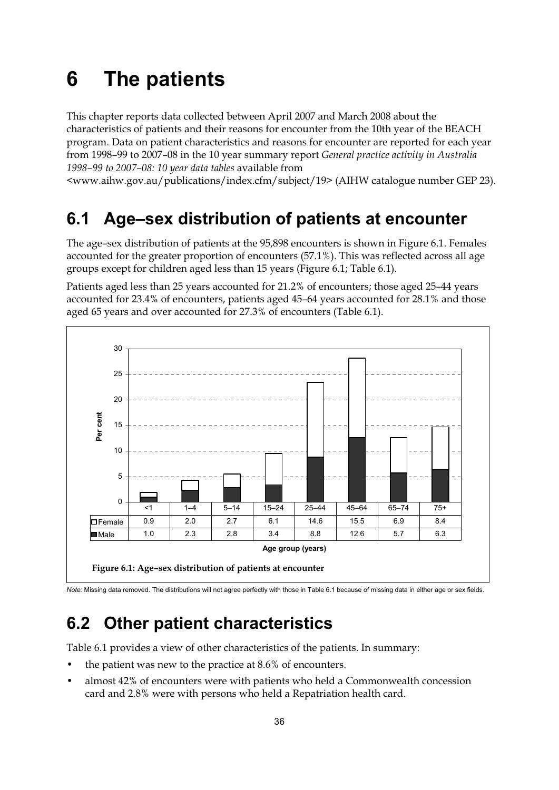# **6 The patients**

This chapter reports data collected between April 2007 and March 2008 about the characteristics of patients and their reasons for encounter from the 10th year of the BEACH program. Data on patient characteristics and reasons for encounter are reported for each year from 1998–99 to 2007–08 in the 10 year summary report *General practice activity in Australia 1998–99 to 2007–08: 10 year data tables* available from

<www.aihw.gov.au/publications/index.cfm/subject/19> (AIHW catalogue number GEP 23).

# **6.1 Age–sex distribution of patients at encounter**

The age–sex distribution of patients at the 95,898 encounters is shown in Figure 6.1. Females accounted for the greater proportion of encounters (57.1%). This was reflected across all age groups except for children aged less than 15 years (Figure 6.1; Table 6.1).

Patients aged less than 25 years accounted for 21.2% of encounters; those aged 25–44 years accounted for 23.4% of encounters, patients aged 45–64 years accounted for 28.1% and those aged 65 years and over accounted for 27.3% of encounters (Table 6.1).



*Note:* Missing data removed. The distributions will not agree perfectly with those in Table 6.1 because of missing data in either age or sex fields.

# **6.2 Other patient characteristics**

Table 6.1 provides a view of other characteristics of the patients. In summary:

- the patient was new to the practice at  $8.6\%$  of encounters.
- almost 42% of encounters were with patients who held a Commonwealth concession card and 2.8% were with persons who held a Repatriation health card.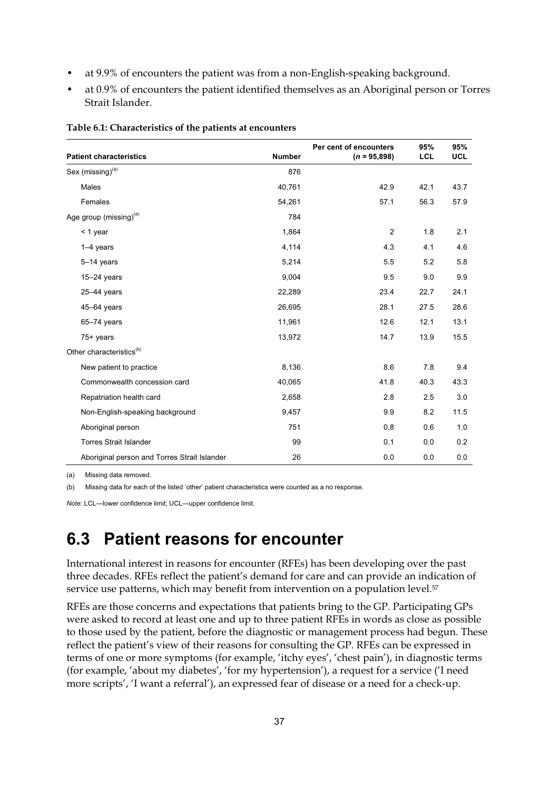- at 9.9% of encounters the patient was from a non-English-speaking background.
- at 0.9% of encounters the patient identified themselves as an Aboriginal person or Torres Strait Islander.

| <b>Patient characteristics</b>               | <b>Number</b> | Per cent of encounters<br>$(n = 95,898)$ | 95%<br><b>LCL</b> | 95%<br><b>UCL</b> |
|----------------------------------------------|---------------|------------------------------------------|-------------------|-------------------|
|                                              |               |                                          |                   |                   |
| Sex (missing) <sup>(a)</sup>                 | 876           |                                          |                   |                   |
| <b>Males</b>                                 | 40,761        | 42.9                                     | 42.1              | 43.7              |
| Females                                      | 54,261        | 57.1                                     | 56.3              | 57.9              |
| Age group (missing) <sup>(a)</sup>           | 784           |                                          |                   |                   |
| $<$ 1 year                                   | 1,864         | $\overline{2}$                           | 1.8               | 2.1               |
| $1-4$ years                                  | 4,114         | 4.3                                      | 4.1               | 4.6               |
| $5-14$ years                                 | 5,214         | 5.5                                      | 5.2               | 5.8               |
| $15-24$ years                                | 9,004         | 9.5                                      | 9.0               | 9.9               |
| $25-44$ years                                | 22,289        | 23.4                                     | 22.7              | 24.1              |
| 45-64 years                                  | 26,695        | 28.1                                     | 27.5              | 28.6              |
| $65 - 74$ years                              | 11,961        | 12.6                                     | 12.1              | 13.1              |
| 75+ years                                    | 13,972        | 14.7                                     | 13.9              | 15.5              |
| Other characteristics <sup>(b)</sup>         |               |                                          |                   |                   |
| New patient to practice                      | 8,136         | 8.6                                      | 7.8               | 9.4               |
| Commonwealth concession card                 | 40,065        | 41.8                                     | 40.3              | 43.3              |
| Repatriation health card                     | 2,658         | 2.8                                      | 2.5               | 3.0               |
| Non-English-speaking background              | 9,457         | 9.9                                      | 8.2               | 11.5              |
| Aboriginal person                            | 751           | 0.8                                      | 0.6               | 1.0               |
| <b>Torres Strait Islander</b>                | 99            | 0.1                                      | 0.0               | 0.2               |
| Aboriginal person and Torres Strait Islander | 26            | 0.0                                      | 0.0               | 0.0               |

#### **Table 6.1: Characteristics of the patients at encounters**

(a) Missing data removed.

(b) Missing data for each of the listed 'other' patient characteristics were counted as a no response.

*Note:* LCL—lower confidence limit; UCL—upper confidence limit.

# **6.3 Patient reasons for encounter**

International interest in reasons for encounter (RFEs) has been developing over the past three decades. RFEs reflect the patient's demand for care and can provide an indication of service use patterns, which may benefit from intervention on a population level.<sup>57</sup>

RFEs are those concerns and expectations that patients bring to the GP. Participating GPs were asked to record at least one and up to three patient RFEs in words as close as possible to those used by the patient, before the diagnostic or management process had begun. These reflect the patient's view of their reasons for consulting the GP. RFEs can be expressed in terms of one or more symptoms (for example, 'itchy eyes', 'chest pain'), in diagnostic terms (for example, 'about my diabetes', 'for my hypertension'), a request for a service ('I need more scripts', 'I want a referral'), an expressed fear of disease or a need for a check-up.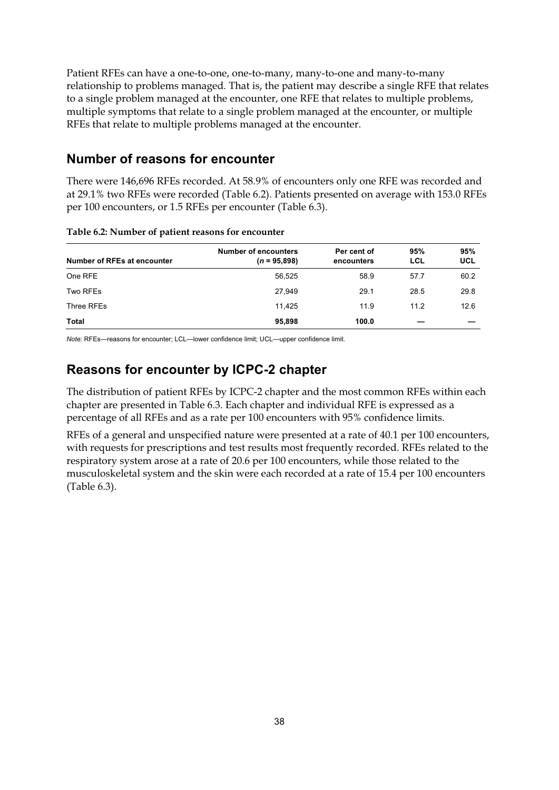Patient RFEs can have a one-to-one, one-to-many, many-to-one and many-to-many relationship to problems managed. That is, the patient may describe a single RFE that relates to a single problem managed at the encounter, one RFE that relates to multiple problems, multiple symptoms that relate to a single problem managed at the encounter, or multiple RFEs that relate to multiple problems managed at the encounter.

### **Number of reasons for encounter**

There were 146,696 RFEs recorded. At 58.9% of encounters only one RFE was recorded and at 29.1% two RFEs were recorded (Table 6.2). Patients presented on average with 153.0 RFEs per 100 encounters, or 1.5 RFEs per encounter (Table 6.3).

| Number of RFEs at encounter | <b>Number of encounters</b><br>$(n = 95,898)$ | Per cent of<br>encounters | 95%<br>LCL | 95%<br><b>UCL</b> |
|-----------------------------|-----------------------------------------------|---------------------------|------------|-------------------|
| One RFE                     | 56,525                                        | 58.9                      | 57.7       | 60.2              |
| Two RFEs                    | 27,949                                        | 29.1                      | 28.5       | 29.8              |
| Three RFEs                  | 11.425                                        | 11.9                      | 11.2       | 12.6              |
| Total                       | 95,898                                        | 100.0                     |            |                   |

#### **Table 6.2: Number of patient reasons for encounter**

*Note:* RFEs—reasons for encounter; LCL—lower confidence limit; UCL—upper confidence limit.

## **Reasons for encounter by ICPC-2 chapter**

The distribution of patient RFEs by ICPC-2 chapter and the most common RFEs within each chapter are presented in Table 6.3. Each chapter and individual RFE is expressed as a percentage of all RFEs and as a rate per 100 encounters with 95% confidence limits.

RFEs of a general and unspecified nature were presented at a rate of 40.1 per 100 encounters, with requests for prescriptions and test results most frequently recorded. RFEs related to the respiratory system arose at a rate of 20.6 per 100 encounters, while those related to the musculoskeletal system and the skin were each recorded at a rate of 15.4 per 100 encounters (Table 6.3).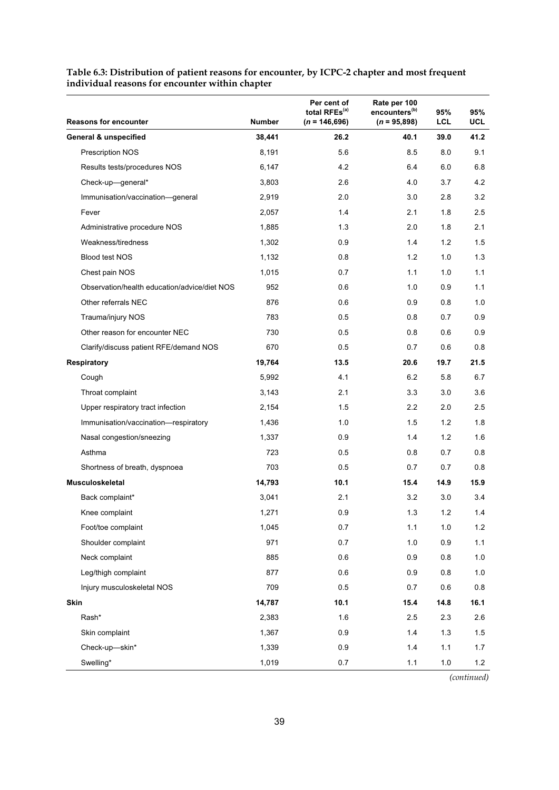| <b>Reasons for encounter</b>                 | <b>Number</b> | Per cent of<br>total RFEs <sup>(a)</sup><br>$(n = 146,696)$ | Rate per 100<br>encounters <sup>(b)</sup><br>$(n = 95,898)$ | 95%<br><b>LCL</b> | 95%<br><b>UCL</b> |
|----------------------------------------------|---------------|-------------------------------------------------------------|-------------------------------------------------------------|-------------------|-------------------|
| <b>General &amp; unspecified</b>             | 38,441        | 26.2                                                        | 40.1                                                        | 39.0              | 41.2              |
| Prescription NOS                             | 8,191         | 5.6                                                         | 8.5                                                         | 8.0               | 9.1               |
| Results tests/procedures NOS                 | 6,147         | 4.2                                                         | 6.4                                                         | 6.0               | 6.8               |
| Check-up-general*                            | 3,803         | 2.6                                                         | 4.0                                                         | 3.7               | 4.2               |
| Immunisation/vaccination-general             | 2,919         | 2.0                                                         | 3.0                                                         | 2.8               | 3.2               |
| Fever                                        | 2,057         | 1.4                                                         | 2.1                                                         | 1.8               | 2.5               |
| Administrative procedure NOS                 | 1,885         | 1.3                                                         | 2.0                                                         | 1.8               | 2.1               |
| Weakness/tiredness                           | 1,302         | 0.9                                                         | 1.4                                                         | 1.2               | 1.5               |
| <b>Blood test NOS</b>                        | 1,132         | 0.8                                                         | 1.2                                                         | 1.0               | 1.3               |
| Chest pain NOS                               | 1,015         | 0.7                                                         | 1.1                                                         | 1.0               | 1.1               |
| Observation/health education/advice/diet NOS | 952           | 0.6                                                         | 1.0                                                         | 0.9               | 1.1               |
| Other referrals NEC                          | 876           | 0.6                                                         | 0.9                                                         | 0.8               | 1.0               |
| Trauma/injury NOS                            | 783           | 0.5                                                         | 0.8                                                         | 0.7               | 0.9               |
| Other reason for encounter NEC               | 730           | 0.5                                                         | 0.8                                                         | 0.6               | 0.9               |
| Clarify/discuss patient RFE/demand NOS       | 670           | 0.5                                                         | 0.7                                                         | 0.6               | 0.8               |
| <b>Respiratory</b>                           | 19,764        | 13.5                                                        | 20.6                                                        | 19.7              | 21.5              |
| Cough                                        | 5,992         | 4.1                                                         | 6.2                                                         | 5.8               | 6.7               |
| Throat complaint                             | 3,143         | 2.1                                                         | 3.3                                                         | 3.0               | 3.6               |
| Upper respiratory tract infection            | 2,154         | 1.5                                                         | 2.2                                                         | 2.0               | 2.5               |
| Immunisation/vaccination-respiratory         | 1,436         | 1.0                                                         | 1.5                                                         | 1.2               | 1.8               |
| Nasal congestion/sneezing                    | 1,337         | 0.9                                                         | 1.4                                                         | 1.2               | 1.6               |
| Asthma                                       | 723           | 0.5                                                         | 0.8                                                         | 0.7               | 0.8               |
| Shortness of breath, dyspnoea                | 703           | 0.5                                                         | 0.7                                                         | 0.7               | 0.8               |
| <b>Musculoskeletal</b>                       | 14,793        | 10.1                                                        | 15.4                                                        | 14.9              | 15.9              |
| Back complaint*                              | 3,041         | 2.1                                                         | 3.2                                                         | 3.0               | 3.4               |
| Knee complaint                               | 1,271         | 0.9                                                         | 1.3                                                         | 1.2               | 1.4               |
| Foot/toe complaint                           | 1,045         | 0.7                                                         | 1.1                                                         | 1.0               | $1.2$             |
| Shoulder complaint                           | 971           | 0.7                                                         | 1.0                                                         | 0.9               | $1.1$             |
| Neck complaint                               | 885           | 0.6                                                         | 0.9                                                         | 0.8               | $1.0\,$           |
| Leg/thigh complaint                          | 877           | 0.6                                                         | 0.9                                                         | 0.8               | 1.0               |
| Injury musculoskeletal NOS                   | 709           | 0.5                                                         | 0.7                                                         | 0.6               | 0.8               |
| <b>Skin</b>                                  | 14,787        | 10.1                                                        | 15.4                                                        | 14.8              | 16.1              |
| Rash*                                        | 2,383         | 1.6                                                         | 2.5                                                         | 2.3               | 2.6               |
| Skin complaint                               | 1,367         | 0.9                                                         | 1.4                                                         | $1.3$             | 1.5               |
| Check-up-skin*                               | 1,339         | 0.9                                                         | 1.4                                                         | 1.1               | 1.7               |
| Swelling*                                    | 1,019         | 0.7                                                         | 1.1                                                         | 1.0               | 1.2               |

#### **Table 6.3: Distribution of patient reasons for encounter, by ICPC-2 chapter and most frequent individual reasons for encounter within chapter**

*(continued)*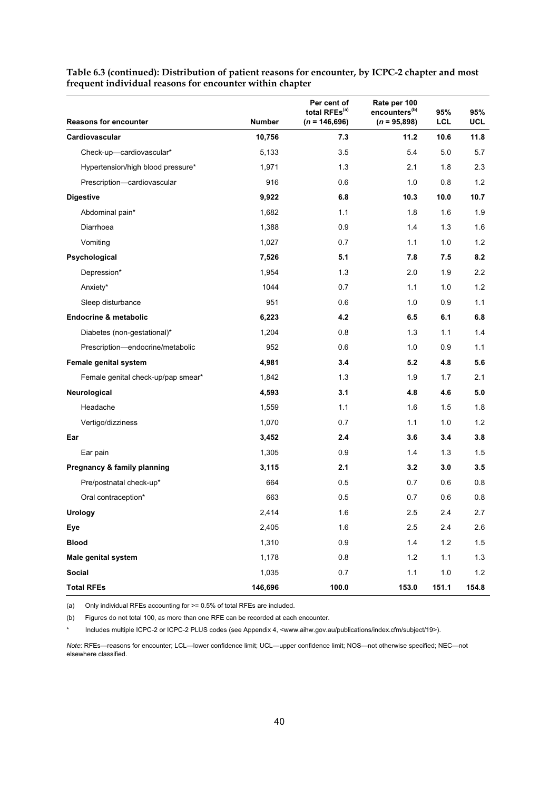| <b>Reasons for encounter</b>       | <b>Number</b> | Per cent of<br>total RFEs <sup>(a)</sup><br>$(n = 146,696)$ | Rate per 100<br>encounters <sup>(b)</sup><br>$(n = 95,898)$ | 95%<br><b>LCL</b> | 95%<br><b>UCL</b> |
|------------------------------------|---------------|-------------------------------------------------------------|-------------------------------------------------------------|-------------------|-------------------|
| Cardiovascular                     | 10,756        | 7.3                                                         | 11.2                                                        | 10.6              | 11.8              |
| Check-up-cardiovascular*           | 5,133         | 3.5                                                         | 5.4                                                         | 5.0               | 5.7               |
| Hypertension/high blood pressure*  | 1,971         | 1.3                                                         | 2.1                                                         | 1.8               | 2.3               |
| Prescription-cardiovascular        | 916           | 0.6                                                         | 1.0                                                         | 0.8               | 1.2               |
| <b>Digestive</b>                   | 9,922         | 6.8                                                         | 10.3                                                        | 10.0              | 10.7              |
| Abdominal pain*                    | 1,682         | 1.1                                                         | 1.8                                                         | 1.6               | 1.9               |
| Diarrhoea                          | 1,388         | 0.9                                                         | 1.4                                                         | 1.3               | 1.6               |
| Vomiting                           | 1,027         | 0.7                                                         | 1.1                                                         | 1.0               | 1.2               |
| Psychological                      | 7,526         | 5.1                                                         | 7.8                                                         | 7.5               | 8.2               |
| Depression*                        | 1,954         | 1.3                                                         | 2.0                                                         | 1.9               | 2.2               |
| Anxiety*                           | 1044          | 0.7                                                         | 1.1                                                         | 1.0               | 1.2               |
| Sleep disturbance                  | 951           | 0.6                                                         | 1.0                                                         | 0.9               | 1.1               |
| Endocrine & metabolic              | 6,223         | 4.2                                                         | 6.5                                                         | 6.1               | 6.8               |
| Diabetes (non-gestational)*        | 1,204         | 0.8                                                         | 1.3                                                         | 1.1               | 1.4               |
| Prescription-endocrine/metabolic   | 952           | 0.6                                                         | 1.0                                                         | 0.9               | 1.1               |
| Female genital system              | 4,981         | 3.4                                                         | 5.2                                                         | 4.8               | 5.6               |
| Female genital check-up/pap smear* | 1,842         | 1.3                                                         | 1.9                                                         | 1.7               | 2.1               |
| Neurological                       | 4,593         | 3.1                                                         | 4.8                                                         | 4.6               | 5.0               |
| Headache                           | 1,559         | 1.1                                                         | 1.6                                                         | 1.5               | 1.8               |
| Vertigo/dizziness                  | 1,070         | 0.7                                                         | 1.1                                                         | 1.0               | 1.2               |
| Ear                                | 3,452         | 2.4                                                         | 3.6                                                         | 3.4               | 3.8               |
| Ear pain                           | 1,305         | 0.9                                                         | 1.4                                                         | 1.3               | 1.5               |
| Pregnancy & family planning        | 3,115         | 2.1                                                         | 3.2                                                         | 3.0               | 3.5               |
| Pre/postnatal check-up*            | 664           | 0.5                                                         | 0.7                                                         | 0.6               | 0.8               |
| Oral contraception*                | 663           | 0.5                                                         | 0.7                                                         | 0.6               | 0.8               |
| Urology                            | 2,414         | 1.6                                                         | 2.5                                                         | 2.4               | 2.7               |
| Eye                                | 2,405         | 1.6                                                         | 2.5                                                         | 2.4               | 2.6               |
| <b>Blood</b>                       | 1,310         | 0.9                                                         | 1.4                                                         | 1.2               | 1.5               |
| Male genital system                | 1,178         | 0.8                                                         | 1.2                                                         | 1.1               | 1.3               |
| Social                             | 1,035         | 0.7                                                         | 1.1                                                         | 1.0               | $1.2$             |
| <b>Total RFEs</b>                  | 146,696       | 100.0                                                       | 153.0                                                       | 151.1             | 154.8             |

**Table 6.3 (continued): Distribution of patient reasons for encounter, by ICPC-2 chapter and most frequent individual reasons for encounter within chapter** 

(a) Only individual RFEs accounting for >= 0.5% of total RFEs are included.

(b) Figures do not total 100, as more than one RFE can be recorded at each encounter.

Includes multiple ICPC-2 or ICPC-2 PLUS codes (see Appendix 4, <www.aihw.gov.au/publications/index.cfm/subject/19>).

*Note*: RFEs—reasons for encounter; LCL—lower confidence limit; UCL—upper confidence limit; NOS—not otherwise specified; NEC—not elsewhere classified.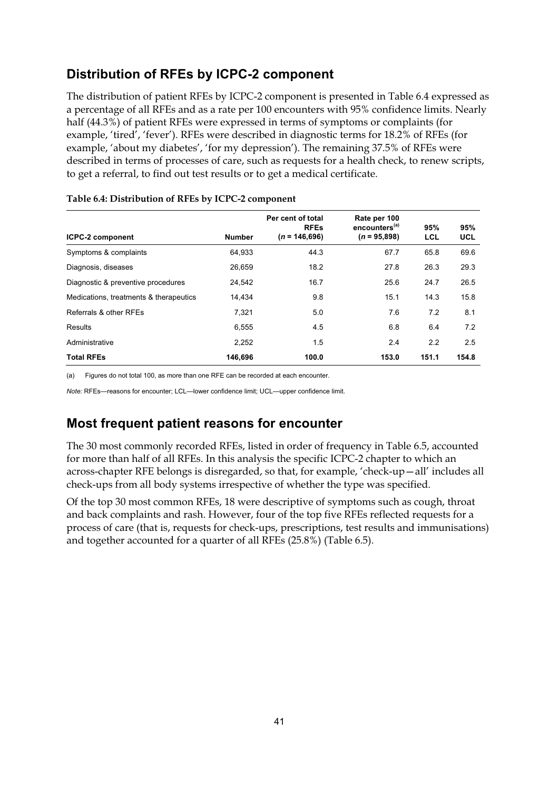## **Distribution of RFEs by ICPC-2 component**

The distribution of patient RFEs by ICPC-2 component is presented in Table 6.4 expressed as a percentage of all RFEs and as a rate per 100 encounters with 95% confidence limits. Nearly half (44.3%) of patient RFEs were expressed in terms of symptoms or complaints (for example, 'tired', 'fever'). RFEs were described in diagnostic terms for 18.2% of RFEs (for example, 'about my diabetes', 'for my depression'). The remaining 37.5% of RFEs were described in terms of processes of care, such as requests for a health check, to renew scripts, to get a referral, to find out test results or to get a medical certificate.

| <b>ICPC-2 component</b>                | <b>Number</b> | Per cent of total<br><b>RFEs</b><br>$(n = 146,696)$ | Rate per 100<br>encounters <sup>(a)</sup><br>$(n = 95,898)$ | 95%<br>LCL | 95%<br><b>UCL</b> |
|----------------------------------------|---------------|-----------------------------------------------------|-------------------------------------------------------------|------------|-------------------|
| Symptoms & complaints                  | 64,933        | 44.3                                                | 67.7                                                        | 65.8       | 69.6              |
| Diagnosis, diseases                    | 26,659        | 18.2                                                | 27.8                                                        | 26.3       | 29.3              |
| Diagnostic & preventive procedures     | 24,542        | 16.7                                                | 25.6                                                        | 24.7       | 26.5              |
| Medications, treatments & therapeutics | 14,434        | 9.8                                                 | 15.1                                                        | 14.3       | 15.8              |
| Referrals & other RFEs                 | 7,321         | 5.0                                                 | 7.6                                                         | 7.2        | 8.1               |
| Results                                | 6,555         | 4.5                                                 | 6.8                                                         | 6.4        | 7.2               |
| Administrative                         | 2,252         | 1.5                                                 | 2.4                                                         | 2.2        | 2.5               |
| <b>Total RFEs</b>                      | 146.696       | 100.0                                               | 153.0                                                       | 151.1      | 154.8             |

#### **Table 6.4: Distribution of RFEs by ICPC-2 component**

(a) Figures do not total 100, as more than one RFE can be recorded at each encounter.

*Note:* RFEs—reasons for encounter; LCL—lower confidence limit; UCL—upper confidence limit.

## **Most frequent patient reasons for encounter**

The 30 most commonly recorded RFEs, listed in order of frequency in Table 6.5, accounted for more than half of all RFEs. In this analysis the specific ICPC-2 chapter to which an across-chapter RFE belongs is disregarded, so that, for example, 'check-up—all' includes all check-ups from all body systems irrespective of whether the type was specified.

Of the top 30 most common RFEs, 18 were descriptive of symptoms such as cough, throat and back complaints and rash. However, four of the top five RFEs reflected requests for a process of care (that is, requests for check-ups, prescriptions, test results and immunisations) and together accounted for a quarter of all RFEs (25.8%) (Table 6.5).